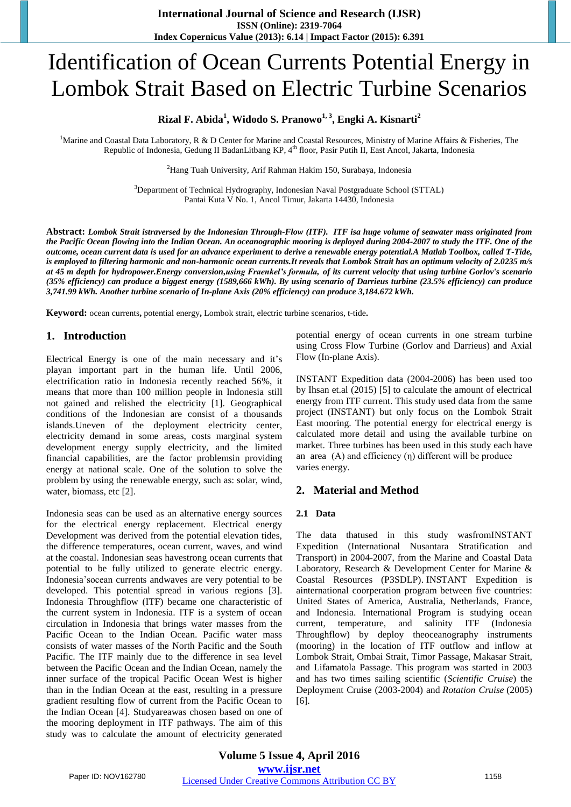# Identification of Ocean Currents Potential Energy in Lombok Strait Based on Electric Turbine Scenarios

# **Rizal F. Abida<sup>1</sup> , Widodo S. Pranowo1, 3, Engki A. Kisnarti<sup>2</sup>**

<sup>1</sup>Marine and Coastal Data Laboratory, R & D Center for Marine and Coastal Resources, Ministry of Marine Affairs & Fisheries, The Republic of Indonesia, Gedung II BadanLitbang KP, 4<sup>th</sup> floor, Pasir Putih II, East Ancol, Jakarta, Indonesia

2 Hang Tuah University, Arif Rahman Hakim 150, Surabaya, Indonesia

<sup>3</sup>Department of Technical Hydrography, Indonesian Naval Postgraduate School (STTAL) Pantai Kuta V No. 1, Ancol Timur, Jakarta 14430, Indonesia

**Abstract:** *Lombok Strait istraversed by the Indonesian Through-Flow (ITF). ITF isa huge volume of seawater mass originated from the Pacific Ocean flowing into the Indian Ocean. An oceanographic mooring is deployed during 2004-2007 to study the ITF. One of the outcome, ocean current data is used for an advance experiment to derive a renewable energy potential.A Matlab Toolbox, called T-Tide, is employed to filtering harmonic and non-harmonic ocean currents.It reveals that Lombok Strait has an optimum velocity of 2.0235 m/s at 45 m depth for hydropower.Energy conversion,using Fraenkel's formula, of its current velocity that using turbine Gorlov's scenario (35% efficiency) can produce a biggest energy (1589,666 kWh). By using scenario of Darrieus turbine (23.5% efficiency) can produce 3,741.99 kWh. Another turbine scenario of In-plane Axis (20% efficiency) can produce 3,184.672 kWh.*

**Keyword:** ocean currents**,** potential energy**,** Lombok strait, electric turbine scenarios, t-tide**.**

## **1. Introduction**

Electrical Energy is one of the main necessary and it's playan important part in the human life. Until 2006, electrification ratio in Indonesia recently reached 56%, it means that more than 100 million people in Indonesia still not gained and relished the electricity [1]. Geographical conditions of the Indonesian are consist of a thousands islands.Uneven of the deployment electricity center, electricity demand in some areas, costs marginal system development energy supply electricity, and the limited financial capabilities, are the factor problemsin providing energy at national scale. One of the solution to solve the problem by using the renewable energy, such as: solar, wind, water, biomass, etc [2].

Indonesia seas can be used as an alternative energy sources for the electrical energy replacement. Electrical energy Development was derived from the potential elevation tides, the difference temperatures, ocean current, waves, and wind at the coastal. Indonesian seas havestrong ocean currents that potential to be fully utilized to generate electric energy. Indonesia'socean currents andwaves are very potential to be developed. This potential spread in various regions [3]. Indonesia Throughflow (ITF) became one characteristic of the current system in Indonesia. ITF is a system of ocean circulation in Indonesia that brings water masses from the Pacific Ocean to the Indian Ocean. Pacific water mass consists of water masses of the North Pacific and the South Pacific. The ITF mainly due to the difference in sea level between the Pacific Ocean and the Indian Ocean, namely the inner surface of the tropical Pacific Ocean West is higher than in the Indian Ocean at the east, resulting in a pressure gradient resulting flow of current from the Pacific Ocean to the Indian Ocean [4]. Studyareawas chosen based on one of the mooring deployment in ITF pathways. The aim of this study was to calculate the amount of electricity generated

potential energy of ocean currents in one stream turbine using Cross Flow Turbine (Gorlov and Darrieus) and Axial Flow (In-plane Axis).

INSTANT Expedition data (2004-2006) has been used too by Ihsan et.al (2015) [5] to calculate the amount of electrical energy from ITF current. This study used data from the same project (INSTANT) but only focus on the Lombok Strait East mooring. The potential energy for electrical energy is calculated more detail and using the available turbine on market. Three turbines has been used in this study each have an area (A) and efficiency (η) different will be produce varies energy.

## **2. Material and Method**

#### **2.1 Data**

The data thatused in this study wasfromINSTANT Expedition (International Nusantara Stratification and Transport) in 2004-2007, from the Marine and Coastal Data Laboratory, Research & Development Center for Marine & Coastal Resources (P3SDLP). INSTANT Expedition is ainternational coorperation program between five countries: United States of America, Australia, Netherlands, France, and Indonesia. International Program is studying ocean current, temperature, and salinity ITF (Indonesia Throughflow) by deploy theoceanography instruments (mooring) in the location of ITF outflow and inflow at Lombok Strait, Ombai Strait, Timor Passage, Makasar Strait, and Lifamatola Passage. This program was started in 2003 and has two times sailing scientific (*Scientific Cruise*) the Deployment Cruise (2003-2004) and *Rotation Cruise* (2005) [6].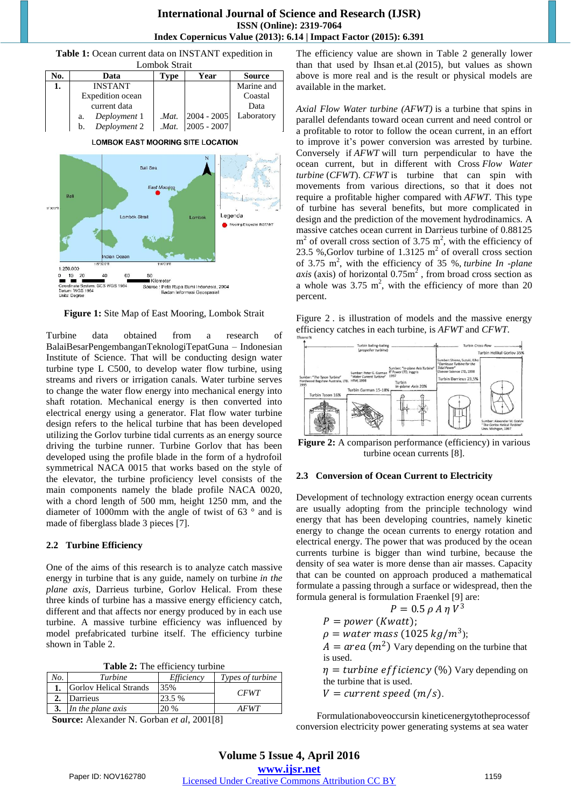



**Figure 1:** Site Map of East Mooring, Lombok Strait

Turbine data obtained from a research of BalaiBesarPengembanganTeknologiTepatGuna – Indonesian Institute of Science. That will be conducting design water turbine type L C500, to develop water flow turbine, using streams and rivers or irrigation canals. Water turbine serves to change the water flow energy into mechanical energy into shaft rotation. Mechanical energy is then converted into electrical energy using a generator. Flat flow water turbine design refers to the helical turbine that has been developed utilizing the Gorlov turbine tidal currents as an energy source driving the turbine runner. Turbine Gorlov that has been developed using the profile blade in the form of a hydrofoil symmetrical NACA 0015 that works based on the style of the elevator, the turbine proficiency level consists of the main components namely the blade profile NACA 0020, with a chord length of 500 mm, height 1250 mm, and the diameter of 1000mm with the angle of twist of 63 ° and is made of fiberglass blade 3 pieces [7].

#### **2.2 Turbine Efficiency**

One of the aims of this research is to analyze catch massive energy in turbine that is any guide, namely on turbine *in the plane axis*, Darrieus turbine, Gorlov Helical. From these three kinds of turbine has a massive energy efficiency catch, different and that affects nor energy produced by in each use turbine. A massive turbine efficiency was influenced by model prefabricated turbine itself. The efficiency turbine shown in Table 2.

|  |  |  |  | Table 2: The efficiency turbine |  |
|--|--|--|--|---------------------------------|--|
|--|--|--|--|---------------------------------|--|

| No. | Turbine                       | Efficiency | Types of turbine |
|-----|-------------------------------|------------|------------------|
|     | <b>Gorlov Helical Strands</b> | 35%        | <b>CFWT</b>      |
|     | Darrieus                      | 23.5%      |                  |
|     | In the plane axis             | 20 %       | <i>AFWT</i>      |

**Source:** Alexander N. Gorban *et al*, 2001[8]

The efficiency value are shown in Table 2 generally lower than that used by Ihsan et.al (2015), but values as shown above is more real and is the result or physical models are available in the market.

*Axial Flow Water turbine (AFWT)* is a turbine that spins in parallel defendants toward ocean current and need control or a profitable to rotor to follow the ocean current, in an effort to improve it's power conversion was arrested by turbine. Conversely if *AFWT* will turn perpendicular to have the ocean current, but in different with Cross *Flow Water turbine* (*CFWT*). *CFWT* is turbine that can spin with movements from various directions, so that it does not require a profitable higher compared with *AFWT*. This type of turbine has several benefits, but more complicated in design and the prediction of the movement hydrodinamics. A massive catches ocean current in Darrieus turbine of 0.88125  $m<sup>2</sup>$  of overall cross section of 3.75  $m<sup>2</sup>$ , with the efficiency of 23.5 %,Gorlov turbine of 1.3125  $m<sup>2</sup>$  of overall cross section of 3.75 m<sup>2</sup>, with the efficiency of 35 %, *turbine In -plane axis* (axis) of horizontal  $0.75m^2$ , from broad cross section as a whole was  $3.75 \text{ m}^2$ , with the efficiency of more than 20 percent.

Figure 2 . is illustration of models and the massive energy efficiency catches in each turbine, is *AFWT* and *CFWT*.



Figure 2: A comparison performance (efficiency) in various turbine ocean currents [8].

#### **2.3 Conversion of Ocean Current to Electricity**

Development of technology extraction energy ocean currents are usually adopting from the principle technology wind energy that has been developing countries, namely kinetic energy to change the ocean currents to energy rotation and electrical energy. The power that was produced by the ocean currents turbine is bigger than wind turbine, because the density of sea water is more dense than air masses. Capacity that can be counted on approach produced a mathematical formulate a passing through a surface or widespread, then the formula general is formulation Fraenkel [9] are:

$$
P=0.5\,\rho\,A\,\eta\,V^3
$$

$$
P = power\ (Kwatt);
$$

 $\rho =$  water mass (1025 kg/m<sup>3</sup>);

 $A = \text{area} \left( m^2 \right)$  Vary depending on the turbine that is used.

 $\eta =$  turbine efficiency (%) Vary depending on the turbine that is used.

 $V = current speed (m/s)$ .

Formulationaboveoccursin kineticenergytotheprocessof conversion electricity power generating systems at sea water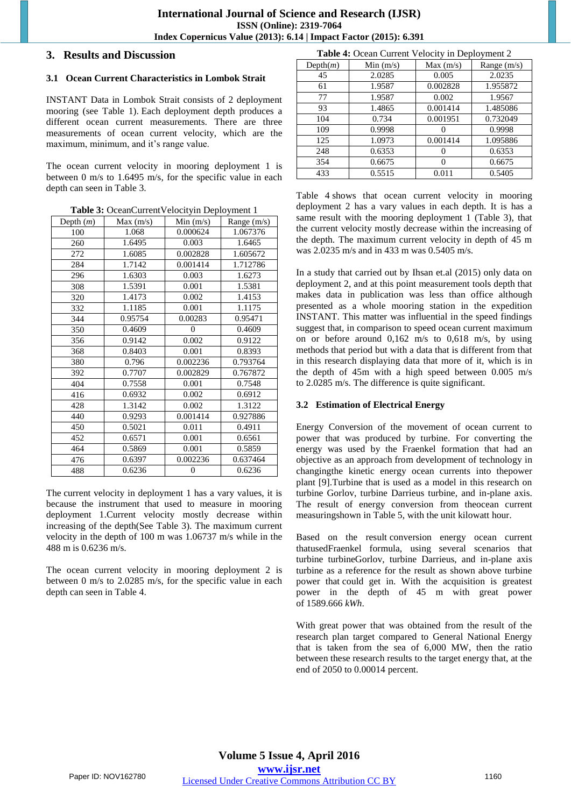## **3. Results and Discussion**

## **3.1 Ocean Current Characteristics in Lombok Strait**

INSTANT Data in Lombok Strait consists of 2 deployment mooring (see Table 1). Each deployment depth produces a different ocean current measurements. There are three measurements of ocean current velocity, which are the maximum, minimum, and it's range value.

The ocean current velocity in mooring deployment 1 is between 0 m/s to 1.6495 m/s, for the specific value in each depth can seen in Table 3.

**Table 3:** OceanCurrentVelocityin Deployment 1

| Depth $(m)$ | Max(m/s) | Min(m/s)       | Range $(m/s)$ |
|-------------|----------|----------------|---------------|
| 100         | 1.068    | 0.000624       | 1.067376      |
| 260         | 1.6495   | 0.003          | 1.6465        |
| 272         | 1.6085   | 0.002828       | 1.605672      |
| 284         | 1.7142   | 0.001414       | 1.712786      |
| 296         | 1.6303   | 0.003          | 1.6273        |
| 308         | 1.5391   | 0.001          | 1.5381        |
| 320         | 1.4173   | 0.002          | 1.4153        |
| 332         | 1.1185   | 0.001          | 1.1175        |
| 344         | 0.95754  | 0.00283        | 0.95471       |
| 350         | 0.4609   | $\overline{0}$ | 0.4609        |
| 356         | 0.9142   | 0.002          | 0.9122        |
| 368         | 0.8403   | 0.001          | 0.8393        |
| 380         | 0.796    | 0.002236       | 0.793764      |
| 392         | 0.7707   | 0.002829       | 0.767872      |
| 404         | 0.7558   | 0.001          | 0.7548        |
| 416         | 0.6932   | 0.002          | 0.6912        |
| 428         | 1.3142   | 0.002          | 1.3122        |
| 440         | 0.9293   | 0.001414       | 0.927886      |
| 450         | 0.5021   | 0.011          | 0.4911        |
| 452         | 0.6571   | 0.001          | 0.6561        |
| 464         | 0.5869   | 0.001          | 0.5859        |
| 476         | 0.6397   | 0.002236       | 0.637464      |
| 488         | 0.6236   | $\theta$       | 0.6236        |

The current velocity in deployment 1 has a vary values, it is because the instrument that used to measure in mooring deployment 1.Current velocity mostly decrease within increasing of the depth(See Table 3). The maximum current velocity in the depth of 100 m was 1.06737 m/s while in the 488 m is 0.6236 m/s.

The ocean current velocity in mooring deployment 2 is between 0 m/s to 2.0285 m/s, for the specific value in each depth can seen in Table 4.

**Table 4:** Ocean Current Velocity in Deployment 2

| Depth(m) | Min(m/s) | Max(m/s) | Range $(m/s)$ |  |  |
|----------|----------|----------|---------------|--|--|
| 45       | 2.0285   | 0.005    | 2.0235        |  |  |
| 61       | 1.9587   | 0.002828 | 1.955872      |  |  |
| 77       | 1.9587   | 0.002    | 1.9567        |  |  |
| 93       | 1.4865   | 0.001414 | 1.485086      |  |  |
| 104      | 0.734    | 0.001951 | 0.732049      |  |  |
| 109      | 0.9998   |          | 0.9998        |  |  |
| 125      | 1.0973   | 0.001414 | 1.095886      |  |  |
| 248      | 0.6353   |          | 0.6353        |  |  |
| 354      | 0.6675   | 0        | 0.6675        |  |  |
| 433      | 0.5515   | 0.011    | 0.5405        |  |  |

Table 4 shows that ocean current velocity in mooring deployment 2 has a vary values in each depth. It is has a same result with the mooring deployment 1 (Table 3), that the current velocity mostly decrease within the increasing of the depth. The maximum current velocity in depth of 45 m was 2.0235 m/s and in 433 m was 0.5405 m/s.

In a study that carried out by Ihsan et.al (2015) only data on deployment 2, and at this point measurement tools depth that makes data in publication was less than office although presented as a whole mooring station in the expedition INSTANT. This matter was influential in the speed findings suggest that, in comparison to speed ocean current maximum on or before around 0,162 m/s to 0,618 m/s, by using methods that period but with a data that is different from that in this research displaying data that more of it, which is in the depth of 45m with a high speed between 0.005 m/s to 2.0285 m/s. The difference is quite significant.

## **3.2 Estimation of Electrical Energy**

Energy Conversion of the movement of ocean current to power that was produced by turbine. For converting the energy was used by the Fraenkel formation that had an objective as an approach from development of technology in changingthe kinetic energy ocean currents into thepower plant [9].Turbine that is used as a model in this research on turbine Gorlov, turbine Darrieus turbine, and in-plane axis. The result of energy conversion from theocean current measuringshown in Table 5, with the unit kilowatt hour.

Based on the result conversion energy ocean current thatusedFraenkel formula, using several scenarios that turbine turbineGorlov, turbine Darrieus, and in-plane axis turbine as a reference for the result as shown above turbine power that could get in. With the acquisition is greatest power in the depth of 45 m with great power of 1589.666 *kWh*.

With great power that was obtained from the result of the research plan target compared to General National Energy that is taken from the sea of 6,000 MW, then the ratio between these research results to the target energy that, at the end of 2050 to 0.00014 percent.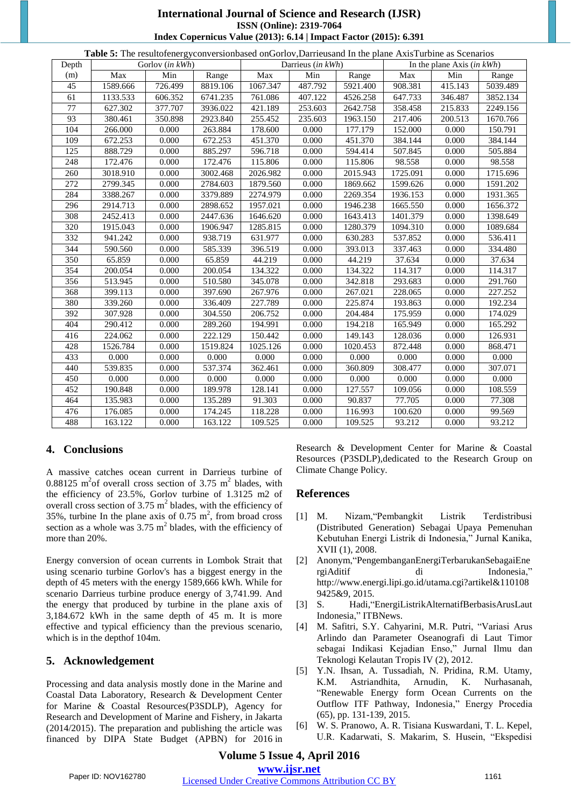# **International Journal of Science and Research (IJSR) ISSN (Online): 2319-7064 Index Copernicus Value (2013): 6.14 | Impact Factor (2015): 6.391**

|  | <b>Table 5:</b> The result of energy conversion based on Gorlov, Darrieus and In the plane Axis Turbine as Scenarios |
|--|----------------------------------------------------------------------------------------------------------------------|
|  |                                                                                                                      |

| Depth            | <b>Table 3.</b> The result of electronic extending set on Gordov, Darriet saily in the plane Axis I wome as Secharios<br>Gorlov (in kWh) |         | Darrieus (in kWh) |          |         | In the plane Axis $(in kWh)$ |          |         |          |
|------------------|------------------------------------------------------------------------------------------------------------------------------------------|---------|-------------------|----------|---------|------------------------------|----------|---------|----------|
| (m)              | Max                                                                                                                                      | Min     | Range             | Max      | Min     | Range                        | Max      | Min     | Range    |
| 45               | 1589.666                                                                                                                                 | 726.499 | 8819.106          | 1067.347 | 487.792 | 5921.400                     | 908.381  | 415.143 | 5039.489 |
| 61               | 1133.533                                                                                                                                 | 606.352 | 6741.235          | 761.086  | 407.122 | 4526.258                     | 647.733  | 346.487 | 3852.134 |
| $\overline{77}$  | 627.302                                                                                                                                  | 377.707 | 3936.022          | 421.189  | 253.603 | 2642.758                     | 358.458  | 215.833 | 2249.156 |
| 93               | 380.461                                                                                                                                  | 350.898 | 2923.840          | 255.452  | 235.603 | 1963.150                     | 217.406  | 200.513 | 1670.766 |
| 104              | 266.000                                                                                                                                  | 0.000   | 263.884           | 178.600  | 0.000   | 177.179                      | 152.000  | 0.000   | 150.791  |
| 109              | 672.253                                                                                                                                  | 0.000   | 672.253           | 451.370  | 0.000   | 451.370                      | 384.144  | 0.000   | 384.144  |
| 125              | 888.729                                                                                                                                  | 0.000   | 885.297           | 596.718  | 0.000   | 594.414                      | 507.845  | 0.000   | 505.884  |
| 248              | 172.476                                                                                                                                  | 0.000   | 172.476           | 115.806  | 0.000   | 115.806                      | 98.558   | 0.000   | 98.558   |
| 260              | 3018.910                                                                                                                                 | 0.000   | 3002.468          | 2026.982 | 0.000   | 2015.943                     | 1725.091 | 0.000   | 1715.696 |
| $\overline{272}$ | 2799.345                                                                                                                                 | 0.000   | 2784.603          | 1879.560 | 0.000   | 1869.662                     | 1599.626 | 0.000   | 1591.202 |
| 284              | 3388.267                                                                                                                                 | 0.000   | 3379.889          | 2274.979 | 0.000   | 2269.354                     | 1936.153 | 0.000   | 1931.365 |
| 296              | 2914.713                                                                                                                                 | 0.000   | 2898.652          | 1957.021 | 0.000   | 1946.238                     | 1665.550 | 0.000   | 1656.372 |
| 308              | 2452.413                                                                                                                                 | 0.000   | 2447.636          | 1646.620 | 0.000   | 1643.413                     | 1401.379 | 0.000   | 1398.649 |
| 320              | 1915.043                                                                                                                                 | 0.000   | 1906.947          | 1285.815 | 0.000   | 1280.379                     | 1094.310 | 0.000   | 1089.684 |
| 332              | 941.242                                                                                                                                  | 0.000   | 938.719           | 631.977  | 0.000   | 630.283                      | 537.852  | 0.000   | 536.411  |
| 344              | 590.560                                                                                                                                  | 0.000   | 585.339           | 396.519  | 0.000   | 393.013                      | 337.463  | 0.000   | 334.480  |
| 350              | 65.859                                                                                                                                   | 0.000   | 65.859            | 44.219   | 0.000   | 44.219                       | 37.634   | 0.000   | 37.634   |
| 354              | 200.054                                                                                                                                  | 0.000   | 200.054           | 134.322  | 0.000   | 134.322                      | 114.317  | 0.000   | 114.317  |
| 356              | 513.945                                                                                                                                  | 0.000   | 510.580           | 345.078  | 0.000   | 342.818                      | 293.683  | 0.000   | 291.760  |
| 368              | 399.113                                                                                                                                  | 0.000   | 397.690           | 267.976  | 0.000   | 267.021                      | 228.065  | 0.000   | 227.252  |
| 380              | 339.260                                                                                                                                  | 0.000   | 336.409           | 227.789  | 0.000   | 225.874                      | 193.863  | 0.000   | 192.234  |
| 392              | 307.928                                                                                                                                  | 0.000   | 304.550           | 206.752  | 0.000   | 204.484                      | 175.959  | 0.000   | 174.029  |
| 404              | 290.412                                                                                                                                  | 0.000   | 289.260           | 194.991  | 0.000   | 194.218                      | 165.949  | 0.000   | 165.292  |
| 416              | 224.062                                                                                                                                  | 0.000   | 222.129           | 150.442  | 0.000   | 149.143                      | 128.036  | 0.000   | 126.931  |
| 428              | 1526.784                                                                                                                                 | 0.000   | 1519.824          | 1025.126 | 0.000   | 1020.453                     | 872.448  | 0.000   | 868.471  |
| 433              | 0.000                                                                                                                                    | 0.000   | 0.000             | 0.000    | 0.000   | 0.000                        | 0.000    | 0.000   | 0.000    |
| 440              | 539.835                                                                                                                                  | 0.000   | 537.374           | 362.461  | 0.000   | 360.809                      | 308.477  | 0.000   | 307.071  |
| 450              | 0.000                                                                                                                                    | 0.000   | 0.000             | 0.000    | 0.000   | 0.000                        | 0.000    | 0.000   | 0.000    |
| 452              | 190.848                                                                                                                                  | 0.000   | 189.978           | 128.141  | 0.000   | 127.557                      | 109.056  | 0.000   | 108.559  |
| 464              | 135.983                                                                                                                                  | 0.000   | 135.289           | 91.303   | 0.000   | 90.837                       | 77.705   | 0.000   | 77.308   |
| 476              | 176.085                                                                                                                                  | 0.000   | 174.245           | 118.228  | 0.000   | 116.993                      | 100.620  | 0.000   | 99.569   |
| 488              | 163.122                                                                                                                                  | 0.000   | 163.122           | 109.525  | 0.000   | 109.525                      | 93.212   | 0.000   | 93.212   |

## **4. Conclusions**

A massive catches ocean current in Darrieus turbine of 0.88125 m<sup>2</sup> of overall cross section of 3.75 m<sup>2</sup> blades, with the efficiency of 23.5%, Gorlov turbine of 1.3125 m2 of overall cross section of  $3.75 \text{ m}^2$  blades, with the efficiency of 35%, turbine In the plane axis of 0.75  $m^2$ , from broad cross section as a whole was  $3.75 \text{ m}^2$  blades, with the efficiency of more than 20%.

Energy conversion of ocean currents in Lombok Strait that using scenario turbine Gorlov's has a biggest energy in the depth of 45 meters with the energy 1589,666 kWh. While for scenario Darrieus turbine produce energy of 3,741.99. And the energy that produced by turbine in the plane axis of 3,184.672 kWh in the same depth of 45 m. It is more effective and typical efficiency than the previous scenario, which is in the depthof 104m.

## **5. Acknowledgement**

Processing and data analysis mostly done in the Marine and Coastal Data Laboratory, Research & Development Center for Marine & Coastal Resources(P3SDLP), Agency for Research and Development of Marine and Fishery, in Jakarta (2014/2015). The preparation and publishing the article was financed by DIPA State Budget (APBN) for 2016 in Research & Development Center for Marine & Coastal Resources (P3SDLP),dedicated to the Research Group on Climate Change Policy.

### **References**

- [1] M. Nizam,"Pembangkit Listrik Terdistribusi (Distributed Generation) Sebagai Upaya Pemenuhan Kebutuhan Energi Listrik di Indonesia," Jurnal Kanika, XVII (1), 2008.
- [2] Anonym,"PengembanganEnergiTerbarukanSebagaiEne rgiAditif di Indonesia," [http://www.energi.lipi.go.id/utama.cgi?artikel&110108](http://www.energi.lipi.go.id/utama.cgi?artikel&1101089425&9) [9425&9,](http://www.energi.lipi.go.id/utama.cgi?artikel&1101089425&9) 2015.
- [3] S. Hadi,"EnergiListrikAlternatifBerbasisArusLaut Indonesia," ITBNews.
- [4] M. Safitri, S.Y. Cahyarini, M.R. Putri, "Variasi Arus Arlindo dan Parameter Oseanografi di Laut Timor sebagai Indikasi Kejadian Enso," Jurnal Ilmu dan Teknologi Kelautan Tropis IV (2), 2012.
- [5] Y.N. Ihsan, A. Tussadiah, N. Pridina, R.M. Utamy, K.M. Astriandhita, Arnudin, K. Nurhasanah, "Renewable Energy form Ocean Currents on the Outflow ITF Pathway, Indonesia," Energy Procedia (65), pp. 131-139, 2015.
- [6] W. S. Pranowo, A. R. Tisiana Kuswardani, T. L. Kepel, U.R. Kadarwati, S. Makarim, S. Husein, "Ekspedisi